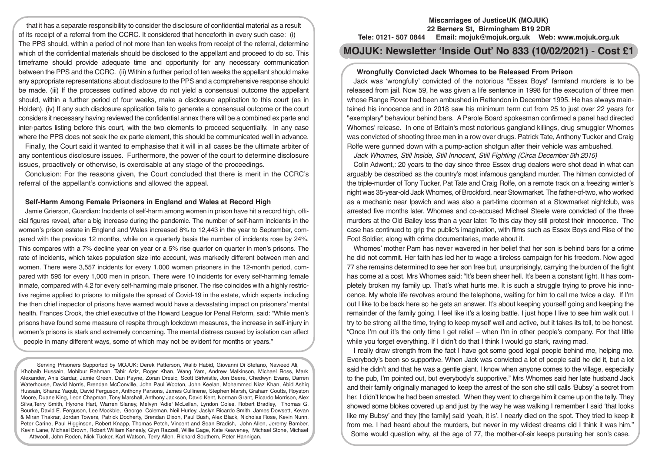that it has a separate responsibility to consider the disclosure of confidential material as a result of its receipt of a referral from the CCRC. It considered that henceforth in every such case: (i) The PPS should, within a period of not more than ten weeks from receipt of the referral, determine which of the confidential materials should be disclosed to the appellant and proceed to do so. This timeframe should provide adequate time and opportunity for any necessary communication between the PPS and the CCRC. (ii) Within a further period of ten weeks the appellant should make any appropriate representations about disclosure to the PPS and a comprehensive response should be made. (iii) If the processes outlined above do not yield a consensual outcome the appellant should, within a further period of four weeks, make a disclosure application to this court (as in Holden). (iv) If any such disclosure application fails to generate a consensual outcome or the court considers it necessary having reviewed the confidential annex there will be a combined ex parte and inter-partes listing before this court, with the two elements to proceed sequentially. In any case where the PPS does not seek the ex parte element, this should be communicated well in advance.

Finally, the Court said it wanted to emphasise that it will in all cases be the ultimate arbiter of any contentious disclosure issues. Furthermore, the power of the court to determine disclosure issues, proactively or otherwise, is exercisable at any stage of the proceedings.

Conclusion: For the reasons given, the Court concluded that there is merit in the CCRC's referral of the appellant's convictions and allowed the appeal.

#### **Self-Harm Among Female Prisoners in England and Wales at Record High**

Jamie Grierson, Guardian: Incidents of self-harm among women in prison have hit a record high, official figures reveal, after a big increase during the pandemic. The number of self-harm incidents in the women's prison estate in England and Wales increased 8% to 12,443 in the year to September, compared with the previous 12 months, while on a quarterly basis the number of incidents rose by 24%. This compares with a 7% decline year on year or a 5% rise quarter on quarter in men's prisons. The rate of incidents, which takes population size into account, was markedly different between men and women. There were 3,557 incidents for every 1,000 women prisoners in the 12-month period, compared with 595 for every 1,000 men in prison. There were 10 incidents for every self-harming female inmate, compared with 4.2 for every self-harming male prisoner. The rise coincides with a highly restrictive regime applied to prisons to mitigate the spread of Covid-19 in the estate, which experts including the then chief inspector of prisons have warned would have a devastating impact on prisoners' mental health. Frances Crook, the chief executive of the Howard League for Penal Reform, said: "While men's prisons have found some measure of respite through lockdown measures, the increase in self-injury in women's prisons is stark and extremely concerning. The mental distress caused by isolation can affect people in many different ways, some of which may not be evident for months or years."

Serving Prisoners Supported by MOJUK: Derek Patterson, Walib Habid, Giovanni Di Stefano, Naweed Ali, Khobaib Hussain, Mohibur Rahman, Tahir Aziz, Roger Khan, Wang Yam, Andrew Malkinson, Michael Ross, Mark Alexander, Anis Sardar, Jamie Green, Dan Payne, Zoran Dresic, Scott Birtwistle, Jon Beere, Chedwyn Evans, Darren Waterhouse, David Norris, Brendan McConville, John Paul Wooton, John Keelan, Mohammed Niaz Khan, Abid Ashiq Hussain, Sharaz Yaqub, David Ferguson, Anthony Parsons, James Cullinene, Stephen Marsh, Graham Coutts, Royston Moore, Duane King, Leon Chapman, Tony Marshall, Anthony Jackson, David Kent, Norman Grant, Ricardo Morrison, Alex Silva,Terry Smith, Hyrone Hart, Warren Slaney, Melvyn 'Adie' McLellan, Lyndon Coles, Robert Bradley, Thomas G. Bourke, David E. Ferguson, Lee Mockble, George Coleman, Neil Hurley, Jaslyn Ricardo Smith, James Dowsett, Kevan & Miran Thakrar, Jordan Towers, Patrick Docherty, Brendan Dixon, Paul Bush, Alex Black, Nicholas Rose, Kevin Nunn, Peter Carine, Paul Higginson, Robert Knapp, Thomas Petch, Vincent and Sean Bradish, John Allen, Jeremy Bamber, Kevin Lane, Michael Brown, Robert William Kenealy, Glyn Razzell, Willie Gage, Kate Keaveney, Michael Stone, Michael Attwooll, John Roden, Nick Tucker, Karl Watson, Terry Allen, Richard Southern, Peter Hannigan.

## **Miscarriages of JusticeUK (MOJUK) 22 Berners St, Birmingham B19 2DR Tele: 0121- 507 0844 Email: mojuk@mojuk.org.uk Web: www.mojuk.org.uk**

# **MOJUK: Newsletter 'Inside Out' No 833 (10/02/2021) - Cost £1**

# **Wrongfully Convicted Jack Whomes to be Released From Prison**

Jack was 'wrongfully' convicted of the notorious "Essex Boys" farmland murders is to be released from jail. Now 59, he was given a life sentence in 1998 for the execution of three men whose Range Rover had been ambushed in Rettendon in December 1995. He has always maintained his innocence and in 2018 saw his minimum term cut from 25 to just over 22 years for "exemplary" behaviour behind bars. A Parole Board spokesman confirmed a panel had directed Whomes' release. In one of Britain's most notorious gangland killings, drug smuggler Whomes was convicted of shooting three men in a row over drugs. Patrick Tate, Anthony Tucker and Craig Rolfe were gunned down with a pump-action shotgun after their vehicle was ambushed.

*Jack Whomes, Still Inside, Still Innocent, Still Fighting (Circa December 5th 2015)*

Colin Adwent,: 20 years to the day since three Essex drug dealers were shot dead in what can arguably be described as the country's most infamous gangland murder. The hitman convicted of the triple-murder of Tony Tucker, Pat Tate and Craig Rolfe, on a remote track on a freezing winter's night was 35-year-old Jack Whomes, of Brockford, near Stowmarket. The father-of-two, who worked as a mechanic near Ipswich and was also a part-time doorman at a Stowmarket nightclub, was arrested five months later. Whomes and co-accused Michael Steele were convicted of the three murders at the Old Bailey less than a year later. To this day they still protest their innocence. The case has continued to grip the public's imagination, with films such as Essex Boys and Rise of the Foot Soldier, along with crime documentaries, made about it.

Whomes' mother Pam has never wavered in her belief that her son is behind bars for a crime he did not commit. Her faith has led her to wage a tireless campaign for his freedom. Now aged 77 she remains determined to see her son free but, unsurprisingly, carrying the burden of the fight has come at a cost. Mrs Whomes said: "It's been sheer hell. It's been a constant fight. It has completely broken my family up. That's what hurts me. It is such a struggle trying to prove his innocence. My whole life revolves around the telephone, waiting for him to call me twice a day. If I'm out I like to be back here so he gets an answer. It's about keeping yourself going and keeping the remainder of the family going. I feel like it's a losing battle. I just hope I live to see him walk out. I try to be strong all the time, trying to keep myself well and active, but it takes its toll, to be honest. "Once I'm out it's the only time I get relief – when I'm in other people's company. For that little while you forget everything. If I didn't do that I think I would go stark, raving mad.

I really draw strength from the fact I have got some good legal people behind me, helping me. Everybody's been so supportive. When Jack was convicted a lot of people said he did it, but a lot said he didn't and that he was a gentle giant. I know when anyone comes to the village, especially to the pub, I'm pointed out, but everybody's supportive." Mrs Whomes said her late husband Jack and their family originally managed to keep the arrest of the son she still calls 'Bubsy' a secret from her. I didn't know he had been arrested. When they went to charge him it came up on the telly. They showed some blokes covered up and just by the way he was walking I remember I said 'that looks like my Bubsy' and they [the family] said 'yeah, it is'. I nearly died on the spot. They tried to keep it from me. I had heard about the murders, but never in my wildest dreams did I think it was him." Some would question why, at the age of 77, the mother-of-six keeps pursuing her son's case.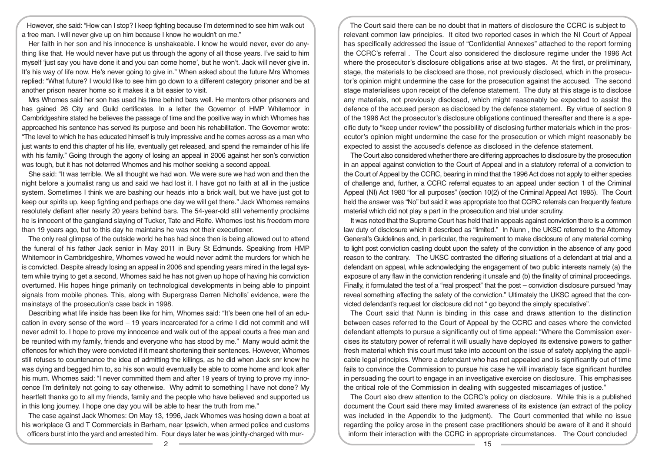However, she said: "How can I stop? I keep fighting because I'm determined to see him walk out a free man. I will never give up on him because I know he wouldn't on me."

Her faith in her son and his innocence is unshakeable. I know he would never, ever do anything like that. He would never have put us through the agony of all those years. I've said to him myself 'iust say you have done it and you can come home', but he won't. Jack will never give in. It's his way of life now. He's never going to give in." When asked about the future Mrs Whomes replied: "What future? I would like to see him go down to a different category prisoner and be at another prison nearer home so it makes it a bit easier to visit.

Mrs Whomes said her son has used his time behind bars well. He mentors other prisoners and has gained 26 City and Guild certificates. In a letter the Governor of HMP Whitemoor in Cambridgeshire stated he believes the passage of time and the positive way in which Whomes has approached his sentence has served its purpose and been his rehabilitation. The Governor wrote: "The level to which he has educated himself is truly impressive and he comes across as a man who just wants to end this chapter of his life, eventually get released, and spend the remainder of his life with his family." Going through the agony of losing an appeal in 2006 against her son's conviction was tough, but it has not deterred Whomes and his mother seeking a second appeal.

She said: "It was terrible. We all thought we had won. We were sure we had won and then the night before a journalist rang us and said we had lost it. I have got no faith at all in the justice system. Sometimes I think we are bashing our heads into a brick wall, but we have just got to keep our spirits up, keep fighting and perhaps one day we will get there." Jack Whomes remains resolutely defiant after nearly 20 years behind bars. The 54-year-old still vehemently proclaims he is innocent of the gangland slaying of Tucker, Tate and Rolfe. Whomes lost his freedom more than 19 years ago, but to this day he maintains he was not their executioner.

The only real glimpse of the outside world he has had since then is being allowed out to attend the funeral of his father Jack senior in May 2011 in Bury St Edmunds. Speaking from HMP Whitemoor in Cambridgeshire, Whomes vowed he would never admit the murders for which he is convicted. Despite already losing an appeal in 2006 and spending years mired in the legal system while trying to get a second, Whomes said he has not given up hope of having his conviction overturned. His hopes hinge primarily on technological developments in being able to pinpoint signals from mobile phones. This, along with Supergrass Darren Nicholls' evidence, were the mainstays of the prosecution's case back in 1998.

Describing what life inside has been like for him, Whomes said: "It's been one hell of an education in every sense of the word – 19 years incarcerated for a crime I did not commit and will never admit to. I hope to prove my innocence and walk out of the appeal courts a free man and be reunited with my family, friends and everyone who has stood by me." Many would admit the offences for which they were convicted if it meant shortening their sentences. However, Whomes still refuses to countenance the idea of admitting the killings, as he did when Jack snr knew he was dying and begged him to, so his son would eventually be able to come home and look after his mum. Whomes said: "I never committed them and after 19 years of trying to prove my innocence I'm definitely not going to say otherwise. Why admit to something I have not done? My heartfelt thanks go to all my friends, family and the people who have believed and supported us in this long journey. I hope one day you will be able to hear the truth from me."

The case against Jack Whomes: On May 13, 1996, Jack Whomes was hosing down a boat at his workplace G and T Commercials in Barham, near Ipswich, when armed police and customs officers burst into the yard and arrested him. Four days later he was jointly-charged with mur-

The Court said there can be no doubt that in matters of disclosure the CCRC is subject to relevant common law principles. It cited two reported cases in which the NI Court of Appeal has specifically addressed the issue of "Confidential Annexes" attached to the report forming the CCRC's referral . The Court also considered the disclosure regime under the 1996 Act where the prosecutor's disclosure obligations arise at two stages. At the first, or preliminary, stage, the materials to be disclosed are those, not previously disclosed, which in the prosecutor's opinion might undermine the case for the prosecution against the accused. The second stage materialises upon receipt of the defence statement. The duty at this stage is to disclose any materials, not previously disclosed, which might reasonably be expected to assist the defence of the accused person as disclosed by the defence statement. By virtue of section 9 of the 1996 Act the prosecutor's disclosure obligations continued thereafter and there is a specific duty to "keep under review" the possibility of disclosing further materials which in the prosecutor's opinion might undermine the case for the prosecution or which might reasonably be expected to assist the accused's defence as disclosed in the defence statement.

The Court also considered whether there are differing approaches to disclosure by the prosecution in an appeal against conviction to the Court of Appeal and in a statutory referral of a conviction to the Court of Appeal by the CCRC, bearing in mind that the 1996 Act does not apply to either species of challenge and, further, a CCRC referral equates to an appeal under section 1 of the Criminal Appeal (NI) Act 1980 "for all purposes" (section 10(2) of the Criminal Appeal Act 1995). The Court held the answer was "No" but said it was appropriate too that CCRC referrals can frequently feature material which did not play a part in the prosecution and trial under scrutiny.

It was noted that the Supreme Court has held that in appeals against conviction there is a common law duty of disclosure which it described as "limited." In Nunn , the UKSC referred to the Attorney General's Guidelines and, in particular, the requirement to make disclosure of any material coming to light post conviction casting doubt upon the safety of the conviction in the absence of any good reason to the contrary. The UKSC contrasted the differing situations of a defendant at trial and a defendant on appeal, while acknowledging the engagement of two public interests namely (a) the exposure of any flaw in the conviction rendering it unsafe and (b) the finality of criminal proceedings. Finally, it formulated the test of a "real prospect" that the post – conviction disclosure pursued "may reveal something affecting the safety of the conviction." Ultimately the UKSC agreed that the convicted defendant's request for disclosure did not " go beyond the simply speculative".

The Court said that Nunn is binding in this case and draws attention to the distinction between cases referred to the Court of Appeal by the CCRC and cases where the convicted defendant attempts to pursue a significantly out of time appeal: "Where the Commission exercises its statutory power of referral it will usually have deployed its extensive powers to gather fresh material which this court must take into account on the issue of safety applying the applicable legal principles. Where a defendant who has not appealed and is significantly out of time fails to convince the Commission to pursue his case he will invariably face significant hurdles in persuading the court to engage in an investigative exercise on disclosure. This emphasises the critical role of the Commission in dealing with suggested miscarriages of justice."

The Court also drew attention to the CCRC's policy on disclosure. While this is a published document the Court said there may limited awareness of its existence (an extract of the policy was included in the Appendix to the judgment). The Court commented that while no issue regarding the policy arose in the present case practitioners should be aware of it and it should inform their interaction with the CCRC in appropriate circumstances. The Court concluded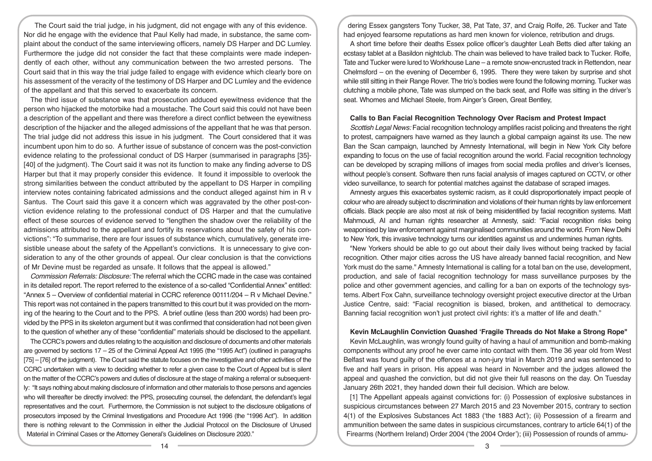The Court said the trial judge, in his judgment, did not engage with any of this evidence. Nor did he engage with the evidence that Paul Kelly had made, in substance, the same complaint about the conduct of the same interviewing officers, namely DS Harper and DC Lumley. Furthermore the judge did not consider the fact that these complaints were made independently of each other, without any communication between the two arrested persons. The Court said that in this way the trial judge failed to engage with evidence which clearly bore on his assessment of the veracity of the testimony of DS Harper and DC Lumley and the evidence of the appellant and that this served to exacerbate its concern.

The third issue of substance was that prosecution adduced eyewitness evidence that the person who hijacked the motorbike had a moustache. The Court said this could not have been a description of the appellant and there was therefore a direct conflict between the eyewitness description of the hijacker and the alleged admissions of the appellant that he was that person. The trial judge did not address this issue in his judgment. The Court considered that it was incumbent upon him to do so. A further issue of substance of concern was the post-conviction evidence relating to the professional conduct of DS Harper (summarised in paragraphs [35]- [40] of the judgment). The Court said it was not its function to make any finding adverse to DS Harper but that it may properly consider this evidence. It found it impossible to overlook the strong similarities between the conduct attributed by the appellant to DS Harper in compiling interview notes containing fabricated admissions and the conduct alleged against him in R v Santus. The Court said this gave it a concern which was aggravated by the other post-conviction evidence relating to the professional conduct of DS Harper and that the cumulative effect of these sources of evidence served to "lengthen the shadow over the reliability of the admissions attributed to the appellant and fortify its reservations about the safety of his convictions": "To summarise, there are four issues of substance which, cumulatively, generate irresistible unease about the safety of the Appellant's convictions. It is unnecessary to give consideration to any of the other grounds of appeal. Our clear conclusion is that the convictions of Mr Devine must be regarded as unsafe. It follows that the appeal is allowed."

*Commission Referrals: Disclosure:* The referral which the CCRC made in the case was contained in its detailed report. The report referred to the existence of a so-called "Confidential Annex" entitled: "Annex 5 – Overview of confidential material in CCRC reference 00111/204 – R v Michael Devine." This report was not contained in the papers transmitted to this court but it was provided on the morning of the hearing to the Court and to the PPS. A brief outline (less than 200 words) had been provided by the PPS in its skeleton argument but it was confirmed that consideration had not been given to the question of whether any of these "confidential" materials should be disclosed to the appellant.

The CCRC's powers and duties relating to the acquisition and disclosure of documents and other materials are governed by sections 17 – 25 of the Criminal Appeal Act 1995 (the "1995 Act") (outlined in paragraphs [75] – [76] of the judgment). The Court said the statute focuses on the investigative and other activities of the CCRC undertaken with a view to deciding whether to refer a given case to the Court of Appeal but is silent on the matter of the CCRC's powers and duties of disclosure at the stage of making a referral or subsequently: "It says nothing about making disclosure of information and other materials to those persons and agencies who will thereafter be directly involved: the PPS, prosecuting counsel, the defendant, the defendant's legal representatives and the court. Furthermore, the Commission is not subject to the disclosure obligations of prosecutors imposed by the Criminal Investigations and Procedure Act 1996 (the "1996 Act"). In addition there is nothing relevant to the Commission in either the Judicial Protocol on the Disclosure of Unused Material in Criminal Cases or the Attorney General's Guidelines on Disclosure 2020."

dering Essex gangsters Tony Tucker, 38, Pat Tate, 37, and Craig Rolfe, 26. Tucker and Tate had enjoyed fearsome reputations as hard men known for violence, retribution and drugs.

A short time before their deaths Essex police officer's daughter Leah Betts died after taking an ecstasy tablet at a Basildon nightclub. The chain was believed to have trailed back to Tucker. Rolfe, Tate and Tucker were lured to Workhouse Lane – a remote snow-encrusted track in Rettendon, near Chelmsford – on the evening of December 6, 1995. There they were taken by surprise and shot while still sitting in their Range Rover. The trio's bodies were found the following morning. Tucker was clutching a mobile phone, Tate was slumped on the back seat, and Rolfe was sitting in the driver's seat. Whomes and Michael Steele, from Ainger's Green, Great Bentley,

### **Calls to Ban Facial Recognition Technology Over Racism and Protest Impact**

*Scottish Legal News:* Facial recognition technology amplifies racist policing and threatens the right to protest, campaigners have warned as they launch a global campaign against its use. The new Ban the Scan campaign, launched by Amnesty International, will begin in New York City before expanding to focus on the use of facial recognition around the world. Facial recognition technology can be developed by scraping millions of images from social media profiles and driver's licenses, without people's consent. Software then runs facial analysis of images captured on CCTV, or other video surveillance, to search for potential matches against the database of scraped images.

Amnesty argues this exacerbates systemic racism, as it could disproportionately impact people of colour who are already subject to discrimination and violations of their human rights by law enforcement officials. Black people are also most at risk of being misidentified by facial recognition systems. Matt Mahmoudi, AI and human rights researcher at Amnesty, said: "Facial recognition risks being weaponised by law enforcement against marginalised communities around the world. From New Delhi to New York, this invasive technology turns our identities against us and undermines human rights.

"New Yorkers should be able to go out about their daily lives without being tracked by facial recognition. Other major cities across the US have already banned facial recognition, and New York must do the same." Amnesty International is calling for a total ban on the use, development, production, and sale of facial recognition technology for mass surveillance purposes by the police and other government agencies, and calling for a ban on exports of the technology systems. Albert Fox Cahn, surveillance technology oversight project executive director at the Urban Justice Centre, said: "Facial recognition is biased, broken, and antithetical to democracy. Banning facial recognition won't just protect civil rights: it's a matter of life and death."

### **Kevin McLaughlin Conviction Quashed 'Fragile Threads do Not Make a Strong Rope"**

Kevin McLaughlin, was wrongly found guilty of having a haul of ammunition and bomb-making components without any proof he ever came into contact with them. The 36 year old from West Belfast was found guilty of the offences at a non-jury trial in March 2019 and was sentenced to five and half years in prison. His appeal was heard in November and the judges allowed the appeal and quashed the conviction, but did not give their full reasons on the day. On Tuesday January 26th 2021, they handed down their full decision. Which are below.

[1] The Appellant appeals against convictions for: (i) Possession of explosive substances in suspicious circumstances between 27 March 2015 and 23 November 2015, contrary to section 4(1) of the Explosives Substances Act 1883 ('the 1883 Act'); (ii) Possession of a firearm and ammunition between the same dates in suspicious circumstances, contrary to article 64(1) of the Firearms (Northern Ireland) Order 2004 ('the 2004 Order'); (iii) Possession of rounds of ammu-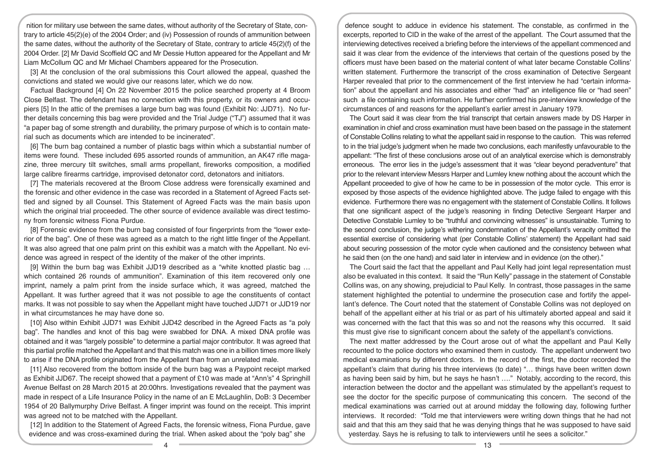nition for military use between the same dates, without authority of the Secretary of State, contrary to article 45(2)(e) of the 2004 Order; and (iv) Possession of rounds of ammunition between the same dates, without the authority of the Secretary of State, contrary to article 45(2)(f) of the 2004 Order. [2] Mr David Scoffield QC and Mr Dessie Hutton appeared for the Appellant and Mr Liam McCollum QC and Mr Michael Chambers appeared for the Prosecution.

[3] At the conclusion of the oral submissions this Court allowed the appeal, quashed the convictions and stated we would give our reasons later, which we do now.

Factual Background [4] On 22 November 2015 the police searched property at 4 Broom Close Belfast. The defendant has no connection with this property, or its owners and occupiers [5] In the attic of the premises a large burn bag was found (Exhibit No: JJD71). No further details concerning this bag were provided and the Trial Judge ("TJ") assumed that it was "a paper bag of some strength and durability, the primary purpose of which is to contain material such as documents which are intended to be incinerated".

[6] The burn bag contained a number of plastic bags within which a substantial number of items were found. These included 695 assorted rounds of ammunition, an AK47 rifle magazine, three mercury tilt switches, small arms propellant, fireworks composition, a modified large calibre firearms cartridge, improvised detonator cord, detonators and initiators.

[7] The materials recovered at the Broom Close address were forensically examined and the forensic and other evidence in the case was recorded in a Statement of Agreed Facts settled and signed by all Counsel. This Statement of Agreed Facts was the main basis upon which the original trial proceeded. The other source of evidence available was direct testimony from forensic witness Fiona Purdue.

[8] Forensic evidence from the burn bag consisted of four fingerprints from the "lower exterior of the bag". One of these was agreed as a match to the right little finger of the Appellant. It was also agreed that one palm print on this exhibit was a match with the Appellant. No evidence was agreed in respect of the identity of the maker of the other imprints.

[9] Within the burn bag was Exhibit JJD19 described as a "white knotted plastic bag … which contained 26 rounds of ammunition". Examination of this item recovered only one imprint, namely a palm print from the inside surface which, it was agreed, matched the Appellant. It was further agreed that it was not possible to age the constituents of contact marks. It was not possible to say when the Appellant might have touched JJD71 or JJD19 nor in what circumstances he may have done so.

[10] Also within Exhibit JJD71 was Exhibit JJD42 described in the Agreed Facts as "a poly bag". The handles and knot of this bag were swabbed for DNA. A mixed DNA profile was obtained and it was "largely possible" to determine a partial major contributor. It was agreed that this partial profile matched the Appellant and that this match was one in a billion times more likely to arise if the DNA profile originated from the Appellant than from an unrelated male.

[11] Also recovered from the bottom inside of the burn bag was a Paypoint receipt marked as Exhibit JJD67. The receipt showed that a payment of £10 was made at "Ann's" 4 Springhill Avenue Belfast on 28 March 2015 at 20:00hrs. Investigations revealed that the payment was made in respect of a Life Insurance Policy in the name of an E McLaughlin, DoB: 3 December 1954 of 20 Ballymurphy Drive Belfast. A finger imprint was found on the receipt. This imprint was agreed not to be matched with the Appellant.

[12] In addition to the Statement of Agreed Facts, the forensic witness, Fiona Purdue, gave evidence and was cross-examined during the trial. When asked about the "poly bag" she

defence sought to adduce in evidence his statement. The constable, as confirmed in the excerpts, reported to CID in the wake of the arrest of the appellant. The Court assumed that the interviewing detectives received a briefing before the interviews of the appellant commenced and said it was clear from the evidence of the interviews that certain of the questions posed by the officers must have been based on the material content of what later became Constable Collins' written statement. Furthermore the transcript of the cross examination of Detective Sergeant Harper revealed that prior to the commencement of the first interview he had "certain information" about the appellant and his associates and either "had" an intelligence file or "had seen" such a file containing such information. He further confirmed his pre-interview knowledge of the circumstances of and reasons for the appellant's earlier arrest in January 1979.

The Court said it was clear from the trial transcript that certain answers made by DS Harper in examination in chief and cross examination must have been based on the passage in the statement of Constable Collins relating to what the appellant said in response to the caution. This was referred to in the trial judge's judgment when he made two conclusions, each manifestly unfavourable to the appellant: "The first of these conclusions arose out of an analytical exercise which is demonstrably erroneous. The error lies in the judge's assessment that it was "clear beyond peradventure" that prior to the relevant interview Messrs Harper and Lumley knew nothing about the account which the Appellant proceeded to give of how he came to be in possession of the motor cycle. This error is exposed by those aspects of the evidence highlighted above. The judge failed to engage with this evidence. Furthermore there was no engagement with the statement of Constable Collins. It follows that one significant aspect of the judge's reasoning in finding Detective Sergeant Harper and Detective Constable Lumley to be "truthful and convincing witnesses" is unsustainable. Turning to the second conclusion, the judge's withering condemnation of the Appellant's veracity omitted the essential exercise of considering what (per Constable Collins' statement) the Appellant had said about securing possession of the motor cycle when cautioned and the consistency between what he said then (on the one hand) and said later in interview and in evidence (on the other)."

The Court said the fact that the appellant and Paul Kelly had joint legal representation must also be evaluated in this context. It said the "Run Kelly" passage in the statement of Constable Collins was, on any showing, prejudicial to Paul Kelly. In contrast, those passages in the same statement highlighted the potential to undermine the prosecution case and fortify the appellant's defence. The Court noted that the statement of Constable Collins was not deployed on behalf of the appellant either at his trial or as part of his ultimately aborted appeal and said it was concerned with the fact that this was so and not the reasons why this occurred. It said this must give rise to significant concern about the safety of the appellant's convictions.

The next matter addressed by the Court arose out of what the appellant and Paul Kelly recounted to the police doctors who examined them in custody. The appellant underwent two medical examinations by different doctors. In the record of the first, the doctor recorded the appellant's claim that during his three interviews (to date) "… things have been written down as having been said by him, but he says he hasn't …." Notably, according to the record, this interaction between the doctor and the appellant was stimulated by the appellant's request to see the doctor for the specific purpose of communicating this concern. The second of the medical examinations was carried out at around midday the following day, following further interviews. It recorded: "Told me that interviewers were writing down things that he had not said and that this am they said that he was denying things that he was supposed to have said yesterday. Says he is refusing to talk to interviewers until he sees a solicitor."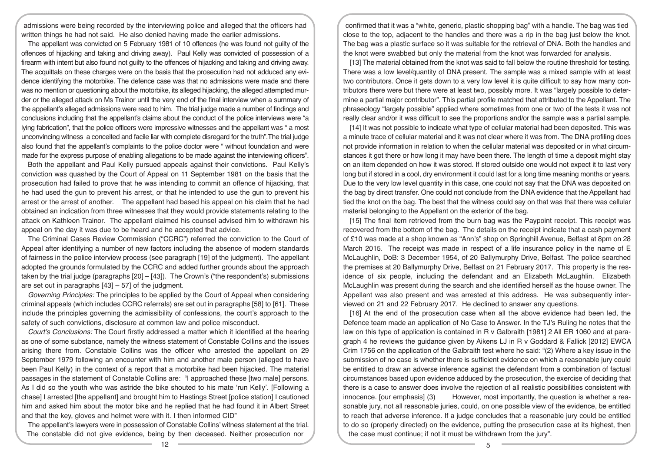admissions were being recorded by the interviewing police and alleged that the officers had written things he had not said. He also denied having made the earlier admissions.

The appellant was convicted on 5 February 1981 of 10 offences (he was found not guilty of the offences of hijacking and taking and driving away). Paul Kelly was convicted of possession of a firearm with intent but also found not guilty to the offences of hijacking and taking and driving away. The acquittals on these charges were on the basis that the prosecution had not adduced any evidence identifying the motorbike. The defence case was that no admissions were made and there was no mention or questioning about the motorbike, its alleged hijacking, the alleged attempted murder or the alleged attack on Ms Trainor until the very end of the final interview when a summary of the appellant's alleged admissions were read to him. The trial judge made a number of findings and conclusions including that the appellant's claims about the conduct of the police interviews were "a lying fabrication", that the police officers were impressive witnesses and the appellant was " a most unconvincing witness a conceited and facile liar with complete disregard for the truth".The trial judge also found that the appellant's complaints to the police doctor were " without foundation and were made for the express purpose of enabling allegations to be made against the interviewing officers".

Both the appellant and Paul Kelly pursued appeals against their convictions. Paul Kelly's conviction was quashed by the Court of Appeal on 11 September 1981 on the basis that the prosecution had failed to prove that he was intending to commit an offence of hijacking, that he had used the gun to prevent his arrest, or that he intended to use the gun to prevent his arrest or the arrest of another. The appellant had based his appeal on his claim that he had obtained an indication from three witnesses that they would provide statements relating to the attack on Kathleen Trainor. The appellant claimed his counsel advised him to withdrawn his appeal on the day it was due to be heard and he accepted that advice.

The Criminal Cases Review Commission ("CCRC") referred the conviction to the Court of Appeal after identifying a number of new factors including the absence of modern standards of fairness in the police interview process (see paragraph [19] of the judgment). The appellant adopted the grounds formulated by the CCRC and added further grounds about the approach taken by the trial judge (paragraphs [20] – [43]). The Crown's ("the respondent's) submissions are set out in paragraphs  $[43] - 57$ ] of the judgment.

*Governing Principles:* The principles to be applied by the Court of Appeal when considering criminal appeals (which includes CCRC referrals) are set out in paragraphs [58] to [61]. These include the principles governing the admissibility of confessions, the court's approach to the safety of such convictions, disclosure at common law and police misconduct.

*Court's Conclusions:* The Court firstly addressed a matter which it identified at the hearing as one of some substance, namely the witness statement of Constable Collins and the issues arising there from. Constable Collins was the officer who arrested the appellant on 29 September 1979 following an encounter with him and another male person (alleged to have been Paul Kelly) in the context of a report that a motorbike had been hijacked. The material passages in the statement of Constable Collins are: "I approached these [two male] persons. As I did so the youth who was astride the bike shouted to his mate 'run Kelly'. [Following a chase] I arrested [the appellant] and brought him to Hastings Street [police station] I cautioned him and asked him about the motor bike and he replied that he had found it in Albert Street and that the key, gloves and helmet were with it. I then informed CID"

The appellant's lawyers were in possession of Constable Collins' witness statement at the trial. The constable did not give evidence, being by then deceased. Neither prosecution nor

confirmed that it was a "white, generic, plastic shopping bag" with a handle. The bag was tied close to the top, adjacent to the handles and there was a rip in the bag just below the knot. The bag was a plastic surface so it was suitable for the retrieval of DNA. Both the handles and the knot were swabbed but only the material from the knot was forwarded for analysis.

[13] The material obtained from the knot was said to fall below the routine threshold for testing. There was a low level/quantity of DNA present. The sample was a mixed sample with at least two contributors. Once it gets down to a very low level it is quite difficult to say how many contributors there were but there were at least two, possibly more. It was "largely possible to determine a partial major contributor". This partial profile matched that attributed to the Appellant. The phraseology "largely possible" applied where sometimes from one or two of the tests it was not really clear and/or it was difficult to see the proportions and/or the sample was a partial sample.

[14] It was not possible to indicate what type of cellular material had been deposited. This was a minute trace of cellular material and it was not clear where it was from. The DNA profiling does not provide information in relation to when the cellular material was deposited or in what circumstances it got there or how long it may have been there. The length of time a deposit might stay on an item depended on how it was stored. If stored outside one would not expect it to last very long but if stored in a cool, dry environment it could last for a long time meaning months or years. Due to the very low level quantity in this case, one could not say that the DNA was deposited on the bag by direct transfer. One could not conclude from the DNA evidence that the Appellant had tied the knot on the bag. The best that the witness could say on that was that there was cellular material belonging to the Appellant on the exterior of the bag.

[15] The final item retrieved from the burn bag was the Paypoint receipt. This receipt was recovered from the bottom of the bag. The details on the receipt indicate that a cash payment of £10 was made at a shop known as "Ann's" shop on Springhill Avenue, Belfast at 8pm on 28 March 2015. The receipt was made in respect of a life insurance policy in the name of E McLaughlin, DoB: 3 December 1954, of 20 Ballymurphy Drive, Belfast. The police searched the premises at 20 Ballymurphy Drive, Belfast on 21 February 2017. This property is the residence of six people, including the defendant and an Elizabeth McLaughlin. Elizabeth McLaughlin was present during the search and she identified herself as the house owner. The Appellant was also present and was arrested at this address. He was subsequently interviewed on 21 and 22 February 2017. He declined to answer any questions.

[16] At the end of the prosecution case when all the above evidence had been led, the Defence team made an application of No Case to Answer. In the TJ's Ruling he notes that the law on this type of application is contained in R v Galbraith [1981] 2 All ER 1060 and at paragraph 4 he reviews the guidance given by Aikens LJ in R v Goddard & Fallick [2012] EWCA Crim 1756 on the application of the Galbraith test where he said: "(2) Where a key issue in the submission of no case is whether there is sufficient evidence on which a reasonable jury could be entitled to draw an adverse inference against the defendant from a combination of factual circumstances based upon evidence adduced by the prosecution, the exercise of deciding that there is a case to answer does involve the rejection of all realistic possibilities consistent with innocence. [our emphasis] (3) However, most importantly, the question is whether a reasonable jury, not all reasonable juries, could, on one possible view of the evidence, be entitled to reach that adverse inference. If a judge concludes that a reasonable jury could be entitled to do so (properly directed) on the evidence, putting the prosecution case at its highest, then the case must continue; if not it must be withdrawn from the jury".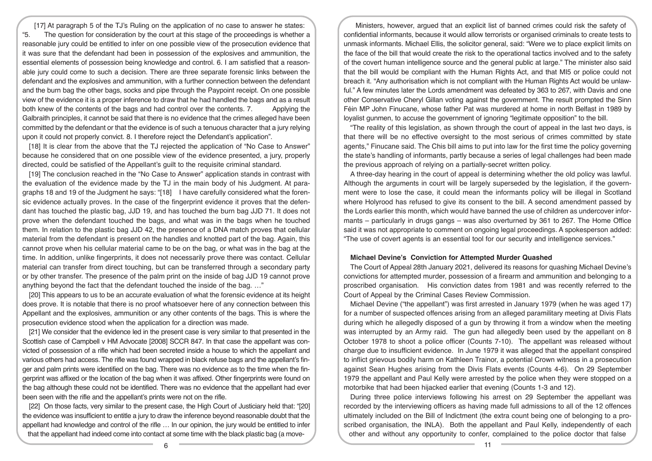[17] At paragraph 5 of the TJ's Ruling on the application of no case to answer he states: "5. The question for consideration by the court at this stage of the proceedings is whether a reasonable jury could be entitled to infer on one possible view of the prosecution evidence that it was sure that the defendant had been in possession of the explosives and ammunition, the essential elements of possession being knowledge and control. 6. I am satisfied that a reasonable jury could come to such a decision. There are three separate forensic links between the defendant and the explosives and ammunition, with a further connection between the defendant and the burn bag the other bags, socks and pipe through the Paypoint receipt. On one possible view of the evidence it is a proper inference to draw that he had handled the bags and as a result both knew of the contents of the bags and had control over the contents. 7. Applying the Galbraith principles, it cannot be said that there is no evidence that the crimes alleged have been committed by the defendant or that the evidence is of such a tenuous character that a jury relying upon it could not properly convict. 8. I therefore reject the Defendant's application".

[18] It is clear from the above that the TJ rejected the application of "No Case to Answer" because he considered that on one possible view of the evidence presented, a jury, properly directed, could be satisfied of the Appellant's guilt to the requisite criminal standard.

[19] The conclusion reached in the "No Case to Answer" application stands in contrast with the evaluation of the evidence made by the TJ in the main body of his Judgment. At paragraphs 18 and 19 of the Judgment he says: "[18] I have carefully considered what the forensic evidence actually proves. In the case of the fingerprint evidence it proves that the defendant has touched the plastic bag, JJD 19, and has touched the burn bag JJD 71. It does not prove when the defendant touched the bags, and what was in the bags when he touched them. In relation to the plastic bag JJD 42, the presence of a DNA match proves that cellular material from the defendant is present on the handles and knotted part of the bag. Again, this cannot prove when his cellular material came to be on the bag, or what was in the bag at the time. In addition, unlike fingerprints, it does not necessarily prove there was contact. Cellular material can transfer from direct touching, but can be transferred through a secondary party or by other transfer. The presence of the palm print on the inside of bag JJD 19 cannot prove anything beyond the fact that the defendant touched the inside of the bag. …"

[20] This appears to us to be an accurate evaluation of what the forensic evidence at its height does prove. It is notable that there is no proof whatsoever here of any connection between this Appellant and the explosives, ammunition or any other contents of the bags. This is where the prosecution evidence stood when the application for a direction was made.

[21] We consider that the evidence led in the present case is very similar to that presented in the Scottish case of Campbell v HM Advocate [2008] SCCR 847. In that case the appellant was convicted of possession of a rifle which had been secreted inside a house to which the appellant and various others had access. The rifle was found wrapped in black refuse bags and the appellant's finger and palm prints were identified on the bag. There was no evidence as to the time when the fingerprint was affixed or the location of the bag when it was affixed. Other fingerprints were found on the bag although these could not be identified. There was no evidence that the appellant had ever been seen with the rifle and the appellant's prints were not on the rifle.

[22] On those facts, very similar to the present case, the High Court of Justiciary held that: "[20] the evidence was insufficient to entitle a jury to draw the inference beyond reasonable doubt that the appellant had knowledge and control of the rifle … In our opinion, the jury would be entitled to infer that the appellant had indeed come into contact at some time with the black plastic bag (a move-

Ministers, however, argued that an explicit list of banned crimes could risk the safety of confidential informants, because it would allow terrorists or organised criminals to create tests to unmask informants. Michael Ellis, the solicitor general, said: "Were we to place explicit limits on the face of the bill that would create the risk to the operational tactics involved and to the safety of the covert human intelligence source and the general public at large." The minister also said that the bill would be compliant with the Human Rights Act, and that MI5 or police could not breach it. "Any authorisation which is not compliant with the Human Rights Act would be unlawful." A few minutes later the Lords amendment was defeated by 363 to 267, with Davis and one other Conservative Cheryl Gillan voting against the government. The result prompted the Sinn Féin MP John Finucane, whose father Pat was murdered at home in north Belfast in 1989 by loyalist gunmen, to accuse the government of ignoring "legitimate opposition" to the bill.

"The reality of this legislation, as shown through the court of appeal in the last two days, is that there will be no effective oversight to the most serious of crimes committed by state agents," Finucane said. The Chis bill aims to put into law for the first time the policy governing the state's handling of informants, partly because a series of legal challenges had been made the previous approach of relying on a partially-secret written policy.

A three-day hearing in the court of appeal is determining whether the old policy was lawful. Although the arguments in court will be largely superseded by the legislation, if the government were to lose the case, it could mean the informants policy will be illegal in Scotland where Holyrood has refused to give its consent to the bill. A second amendment passed by the Lords earlier this month, which would have banned the use of children as undercover informants – particularly in drugs gangs – was also overturned by 361 to 267. The Home Office said it was not appropriate to comment on ongoing legal proceedings. A spokesperson added: "The use of covert agents is an essential tool for our security and intelligence services."

# **Michael Devine's Conviction for Attempted Murder Quashed**

The Court of Appeal 28th January 2021, delivered its reasons for quashing Michael Devine's convictions for attempted murder, possession of a firearm and ammunition and belonging to a proscribed organisation. His conviction dates from 1981 and was recently referred to the Court of Appeal by the Criminal Cases Review Commission.

Michael Devine ("the appellant") was first arrested in January 1979 (when he was aged 17) for a number of suspected offences arising from an alleged paramilitary meeting at Divis Flats during which he allegedly disposed of a gun by throwing it from a window when the meeting was interrupted by an Army raid. The gun had allegedly been used by the appellant on 8 October 1978 to shoot a police officer (Counts 7-10). The appellant was released without charge due to insufficient evidence. In June 1979 it was alleged that the appellant conspired to inflict grievous bodily harm on Kathleen Trainor, a potential Crown witness in a prosecution against Sean Hughes arising from the Divis Flats events (Counts 4-6). On 29 September 1979 the appellant and Paul Kelly were arrested by the police when they were stopped on a motorbike that had been hijacked earlier that evening (Counts 1-3 and 12).

During three police interviews following his arrest on 29 September the appellant was recorded by the interviewing officers as having made full admissions to all of the 12 offences ultimately included on the Bill of Indictment (the extra count being one of belonging to a proscribed organisation, the INLA). Both the appellant and Paul Kelly, independently of each other and without any opportunity to confer, complained to the police doctor that false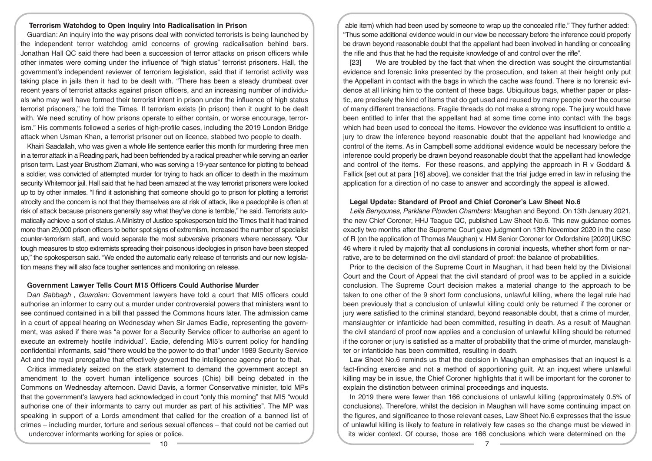## **Terrorism Watchdog to Open Inquiry Into Radicalisation in Prison**

Guardian: An inquiry into the way prisons deal with convicted terrorists is being launched by the independent terror watchdog amid concerns of growing radicalisation behind bars. Jonathan Hall QC said there had been a succession of terror attacks on prison officers while other inmates were coming under the influence of "high status" terrorist prisoners. Hall, the government's independent reviewer of terrorism legislation, said that if terrorist activity was taking place in jails then it had to be dealt with. "There has been a steady drumbeat over recent years of terrorist attacks against prison officers, and an increasing number of individuals who may well have formed their terrorist intent in prison under the influence of high status terrorist prisoners," he told the Times. If terrorism exists (in prison) then it ought to be dealt with. We need scrutiny of how prisons operate to either contain, or worse encourage, terrorism." His comments followed a series of high-profile cases, including the 2019 London Bridge attack when Usman Khan, a terrorist prisoner out on licence, stabbed two people to death.

Khairi Saadallah, who was given a whole life sentence earlier this month for murdering three men in a terror attack in a Reading park, had been befriended by a radical preacher while serving an earlier prison term. Last year Brusthom Ziamani, who was serving a 19-year sentence for plotting to behead a soldier, was convicted of attempted murder for trying to hack an officer to death in the maximum security Whitemoor jail. Hall said that he had been amazed at the way terrorist prisoners were looked up to by other inmates. "I find it astonishing that someone should go to prison for plotting a terrorist atrocity and the concern is not that they themselves are at risk of attack, like a paedophile is often at risk of attack because prisoners generally say what they've done is terrible," he said. Terrorists automatically achieve a sort of status. A Ministry of Justice spokesperson told the Times that it had trained more than 29,000 prison officers to better spot signs of extremism, increased the number of specialist counter-terrorism staff, and would separate the most subversive prisoners where necessary. "Our tough measures to stop extremists spreading their poisonous ideologies in prison have been stepped up," the spokesperson said. "We ended the automatic early release of terrorists and our new legislation means they will also face tougher sentences and monitoring on release.

# **Government Lawyer Tells Court M15 Officers Could Authorise Murder**

D*an Sabbagh , Guardian:* Government lawyers have told a court that MI5 officers could authorise an informer to carry out a murder under controversial powers that ministers want to see continued contained in a bill that passed the Commons hours later. The admission came in a court of appeal hearing on Wednesday when Sir James Eadie, representing the government, was asked if there was "a power for a Security Service officer to authorise an agent to execute an extremely hostile individual". Eadie, defending MI5's current policy for handling confidential informants, said "there would be the power to do that" under 1989 Security Service Act and the royal prerogative that effectively governed the intelligence agency prior to that.

Critics immediately seized on the stark statement to demand the government accept an amendment to the covert human intelligence sources (Chis) bill being debated in the Commons on Wednesday afternoon. David Davis, a former Conservative minister, told MPs that the government's lawyers had acknowledged in court "only this morning" that MI5 "would authorise one of their informants to carry out murder as part of his activities". The MP was speaking in support of a Lords amendment that called for the creation of a banned list of crimes – including murder, torture and serious sexual offences – that could not be carried out undercover informants working for spies or police.

able item) which had been used by someone to wrap up the concealed rifle." They further added: "Thus some additional evidence would in our view be necessary before the inference could properly be drawn beyond reasonable doubt that the appellant had been involved in handling or concealing the rifle and thus that he had the requisite knowledge of and control over the rifle".

[23] We are troubled by the fact that when the direction was sought the circumstantial evidence and forensic links presented by the prosecution, and taken at their height only put the Appellant in contact with the bags in which the cache was found. There is no forensic evidence at all linking him to the content of these bags. Ubiquitous bags, whether paper or plastic, are precisely the kind of items that do get used and reused by many people over the course of many different transactions. Fragile threads do not make a strong rope. The jury would have been entitled to infer that the appellant had at some time come into contact with the bags which had been used to conceal the items. However the evidence was insufficient to entitle a jury to draw the inference beyond reasonable doubt that the appellant had knowledge and control of the items. As in Campbell some additional evidence would be necessary before the inference could properly be drawn beyond reasonable doubt that the appellant had knowledge and control of the items. For these reasons, and applying the approach in R v Goddard & Fallick [set out at para [16] above], we consider that the trial judge erred in law in refusing the application for a direction of no case to answer and accordingly the appeal is allowed.

# **Legal Update: Standard of Proof and Chief Coroner's Law Sheet No.6**

*Leila Benyounes, Parklane Plowden Chambers:* Maughan and Beyond. On 13th January 2021, the new Chief Coroner, HHJ Teague QC, published Law Sheet No.6. This new guidance comes exactly two months after the Supreme Court gave judgment on 13th November 2020 in the case of R (on the application of Thomas Maughan) v. HM Senior Coroner for Oxfordshire [2020] UKSC 46 where it ruled by majority that all conclusions in coronial inquests, whether short form or narrative, are to be determined on the civil standard of proof: the balance of probabilities.

Prior to the decision of the Supreme Court in Maughan, it had been held by the Divisional Court and the Court of Appeal that the civil standard of proof was to be applied in a suicide conclusion. The Supreme Court decision makes a material change to the approach to be taken to one other of the 9 short form conclusions, unlawful killing, where the legal rule had been previously that a conclusion of unlawful killing could only be returned if the coroner or jury were satisfied to the criminal standard, beyond reasonable doubt, that a crime of murder, manslaughter or infanticide had been committed, resulting in death. As a result of Maughan the civil standard of proof now applies and a conclusion of unlawful killing should be returned if the coroner or jury is satisfied as a matter of probability that the crime of murder, manslaughter or infanticide has been committed, resulting in death.

Law Sheet No.6 reminds us that the decision in Maughan emphasises that an inquest is a fact-finding exercise and not a method of apportioning guilt. At an inquest where unlawful killing may be in issue, the Chief Coroner highlights that it will be important for the coroner to explain the distinction between criminal proceedings and inquests.

In 2019 there were fewer than 166 conclusions of unlawful killing (approximately 0.5% of conclusions). Therefore, whilst the decision in Maughan will have some continuing impact on the figures, and significance to those relevant cases, Law Sheet No.6 expresses that the issue of unlawful killing is likely to feature in relatively few cases so the change must be viewed in its wider context. Of course, those are 166 conclusions which were determined on the

 $\sim$  7